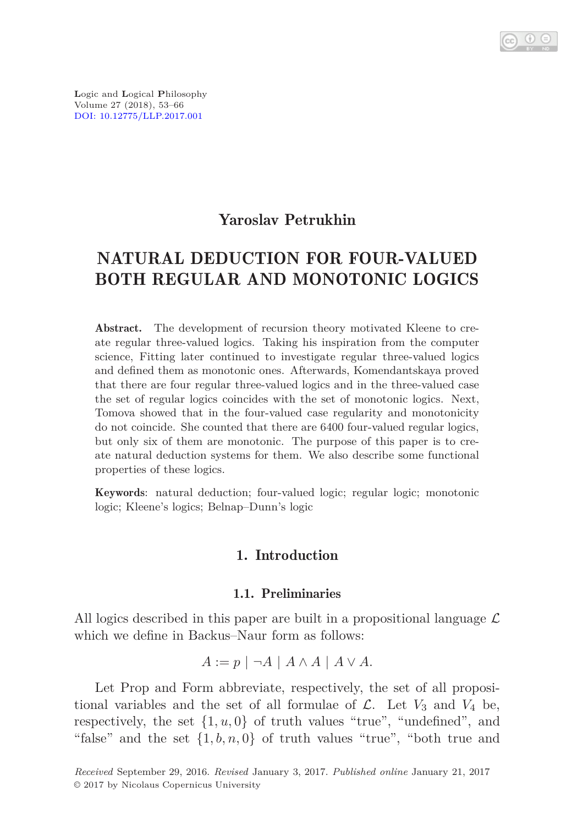

**L**ogic and **L**ogical **P**hilosophy Volume 27 (2018), 53–66 [DOI: 10.12775/LLP.2017.001](http://dx.doi.org/10.12775/LLP.2017.001)

# Yaroslav Petrukhin

# NATURAL DEDUCTION FOR FOUR-VALUED BOTH REGULAR AND MONOTONIC LOGICS

Abstract. The development of recursion theory motivated Kleene to create regular three-valued logics. Taking his inspiration from the computer science, Fitting later continued to investigate regular three-valued logics and defined them as monotonic ones. Afterwards, Komendantskaya proved that there are four regular three-valued logics and in the three-valued case the set of regular logics coincides with the set of monotonic logics. Next, Tomova showed that in the four-valued case regularity and monotonicity do not coincide. She counted that there are 6400 four-valued regular logics, but only six of them are monotonic. The purpose of this paper is to create natural deduction systems for them. We also describe some functional properties of these logics.

Keywords: natural deduction; four-valued logic; regular logic; monotonic logic; Kleene's logics; Belnap–Dunn's logic

# 1. Introduction

## 1.1. Preliminaries

All logics described in this paper are built in a propositional language  $\mathcal L$ which we define in Backus–Naur form as follows:

$$
A := p \mid \neg A \mid A \land A \mid A \lor A.
$$

Let Prop and Form abbreviate, respectively, the set of all propositional variables and the set of all formulae of  $\mathcal{L}$ . Let  $V_3$  and  $V_4$  be, respectively, the set  $\{1, u, 0\}$  of truth values "true", "undefined", and "false" and the set  $\{1, b, n, 0\}$  of truth values "true", "both true and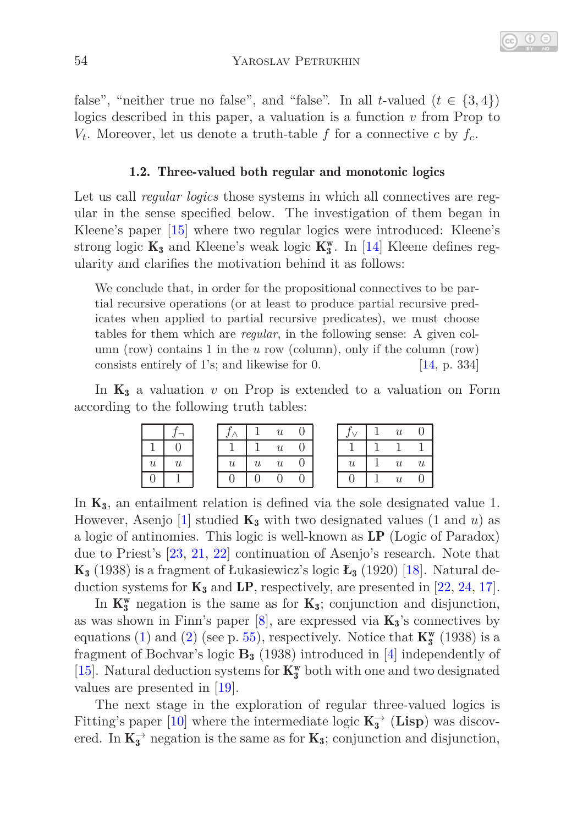false", "neither true no false", and "false". In all *t*-valued  $(t \in \{3, 4\})$ logics described in this paper, a valuation is a function *v* from Prop to  $V_t$ . Moreover, let us denote a truth-table *f* for a connective *c* by  $f_c$ .

#### 1.2. Three-valued both regular and monotonic logics

Let us call *regular logics* those systems in which all connectives are regular in the sense specified below. The investigation of them began in Kleene's paper [\[15\]](#page-12-0) where two regular logics were introduced: Kleene's strong logic $\mathbf{K}_3$  and Kleene's weak logic  $\mathbf{K}_3^\mathrm{w}.$  In [\[14\]](#page-12-1) Kleene defines regularity and clarifies the motivation behind it as follows:

We conclude that, in order for the propositional connectives to be partial recursive operations (or at least to produce partial recursive predicates when applied to partial recursive predicates), we must choose tables for them which are *regular*, in the following sense: A given column (row) contains 1 in the *u* row (column), only if the column (row) consists entirely of 1's; and likewise for 0. [\[14,](#page-12-1) p. 334]

In  $K_3$  a valuation  $v$  on Prop is extended to a valuation on Form according to the following truth tables:

|                  |                  |                  |                  |                  |  |                  | $\boldsymbol{u}$ |                           |
|------------------|------------------|------------------|------------------|------------------|--|------------------|------------------|---------------------------|
|                  |                  |                  |                  | $\boldsymbol{u}$ |  |                  |                  |                           |
| $\boldsymbol{u}$ | $\boldsymbol{u}$ | $\boldsymbol{u}$ | $\boldsymbol{u}$ | $\boldsymbol{u}$ |  | $\boldsymbol{u}$ | $\boldsymbol{u}$ | $\boldsymbol{\mathit{u}}$ |
|                  |                  |                  |                  |                  |  |                  | $\boldsymbol{u}$ |                           |

In  $K_3$ , an entailment relation is defined via the sole designated value 1. However, Asenjo  $[1]$  studied  $\mathbf{K}_3$  with two designated values  $(1 \text{ and } u)$  as a logic of antinomies. This logic is well-known as LP (Logic of Paradox) due to Priest's [\[23,](#page-13-0) [21,](#page-12-2) [22\]](#page-12-3) continuation of Asenjo's research. Note that K<sup>3</sup> (1938) is a fragment of Łukasiewicz's logic **Ł**<sup>3</sup> (1920) [\[18\]](#page-12-4). Natural deduction systems for  $K_3$  and  $LP$ , respectively, are presented in [\[22,](#page-12-3) [24,](#page-13-1) [17\]](#page-12-5).

In  $K_3^w$  negation is the same as for  $K_3$ ; conjunction and disjunction, as was shown in Finn's paper  $[8]$ , are expressed via  $K_3$ 's connectives by equations [\(1\)](#page-2-0) and [\(2\)](#page-2-0) (see p. [55\)](#page-2-0), respectively. Notice that  $\mathbf{K}_{3}^{\mathbf{w}}$  (1938) is a fragment of Bochvar's logic **B**<sup>3</sup> (1938) introduced in [\[4\]](#page-11-1) independently of [\[15\]](#page-12-0). Natural deduction systems for  $\mathbf{K}_3^\mathrm{w}$  both with one and two designated values are presented in [\[19\]](#page-12-7).

The next stage in the exploration of regular three-valued logics is Fitting's paper [\[10\]](#page-12-8) where the intermediate logic  $\mathbf{K}_{3}^{\rightarrow}$  (Lisp) was discovered. In  $K_3^{\rightarrow}$  negation is the same as for  $K_3$ ; conjunction and disjunction,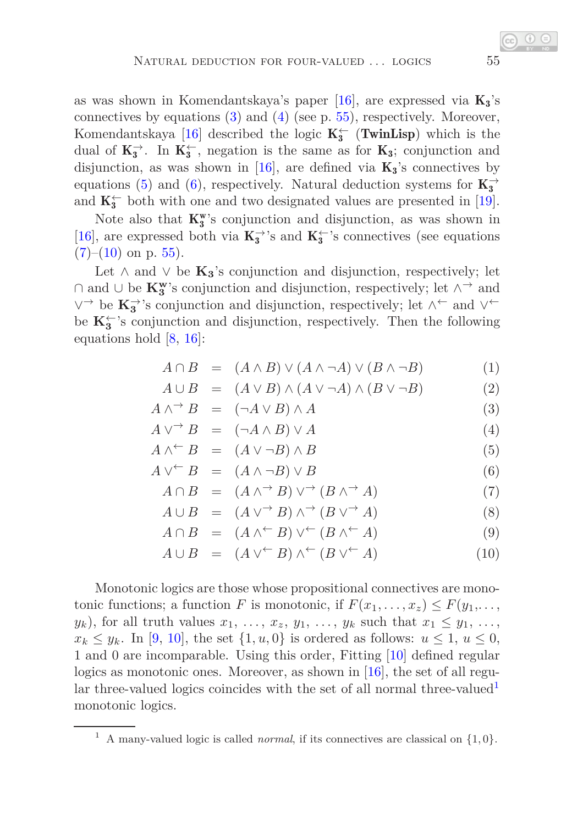as was shown in Komendantskaya's paper [\[16\]](#page-12-9), are expressed via  $K_3$ 's connectives by equations  $(3)$  and  $(4)$  (see p. [55\)](#page-2-0), respectively. Moreover, Komendantskaya [\[16\]](#page-12-9) described the logic  $K_3^{\leftarrow}$  (TwinLisp) which is the dual of  $K_3^{\rightarrow}$ . In  $K_3^{\leftarrow}$ , negation is the same as for  $K_3$ ; conjunction and disjunction, as was shown in [\[16\]](#page-12-9), are defined via  $K_3$ 's connectives by equations [\(5\)](#page-2-0) and [\(6\)](#page-2-0), respectively. Natural deduction systems for  $\mathbf{K}_3^{\rightarrow}$ and  $K_3^{\leftarrow}$  both with one and two designated values are presented in [\[19\]](#page-12-7).

Note also that  $K_3^w$ 's conjunction and disjunction, as was shown in [\[16\]](#page-12-9), are expressed both via  $\mathbf{K_3^{\rightarrow}}$  's and  $\mathbf{K_3^{\leftarrow}}$  's connectives (see equations  $(7)-(10)$  $(7)-(10)$  $(7)-(10)$  on p. [55\)](#page-2-0).

Let  $\land$  and  $\lor$  be  $\mathbf{K}_3$ 's conjunction and disjunction, respectively; let ∩ and ∪ be **K<sup>w</sup> 3** 's conjunction and disjunction, respectively; let ∧<sup>→</sup> and ∨<sup>→</sup> be  $\mathbf{K}_{3}^{\rightarrow}$ 's conjunction and disjunction, respectively; let  $\wedge^{\leftarrow}$  and  $\vee^{\leftarrow}$ be  $\mathbf{K}_{3}^{\leftarrow}$ 's conjunction and disjunction, respectively. Then the following equations hold  $\vert 8, 16 \vert$ :

<span id="page-2-0"></span>
$$
A \cap B = (A \land B) \lor (A \land \neg A) \lor (B \land \neg B) \tag{1}
$$

$$
A \cup B = (A \lor B) \land (A \lor \neg A) \land (B \lor \neg B) \tag{2}
$$

$$
A \wedge^{\rightarrow} B = (\neg A \vee B) \wedge A \tag{3}
$$

$$
A \vee^{\rightarrow} B = (\neg A \wedge B) \vee A \tag{4}
$$

$$
A \wedge^{\leftarrow} B = (A \vee \neg B) \wedge B \tag{5}
$$

$$
A \vee^{\leftarrow} B = (A \wedge \neg B) \vee B \tag{6}
$$

$$
A \cap B = (A \wedge^{\rightarrow} B) \vee^{\rightarrow} (B \wedge^{\rightarrow} A) \tag{7}
$$

$$
A \cup B = (A \vee^{\rightarrow} B) \wedge^{\rightarrow} (B \vee^{\rightarrow} A) \tag{8}
$$

$$
A \cap B = (A \wedge^{\leftarrow} B) \vee^{\leftarrow} (B \wedge^{\leftarrow} A) \tag{9}
$$

$$
A \cup B = (A \vee^{\leftarrow} B) \wedge^{\leftarrow} (B \vee^{\leftarrow} A) \tag{10}
$$

Monotonic logics are those whose propositional connectives are monotonic functions; a function *F* is monotonic, if  $F(x_1, \ldots, x_z) \leq F(y_1, \ldots, y_z)$  $y_k$ ), for all truth values  $x_1, \ldots, x_z, y_1, \ldots, y_k$  such that  $x_1 \leq y_1, \ldots,$  $x_k \leq y_k$ . In [\[9,](#page-12-10) [10\]](#page-12-8), the set  $\{1, u, 0\}$  is ordered as follows:  $u \leq 1, u \leq 0$ , 1 and 0 are incomparable. Using this order, Fitting [\[10\]](#page-12-8) defined regular logics as monotonic ones. Moreover, as shown in [\[16\]](#page-12-9), the set of all regu-lar three-valued logics coincides with the set of all normal three-valued<sup>[1](#page-2-1)</sup> monotonic logics.

<span id="page-2-1"></span><sup>&</sup>lt;sup>1</sup> A many-valued logic is called *normal*, if its connectives are classical on  $\{1, 0\}$ .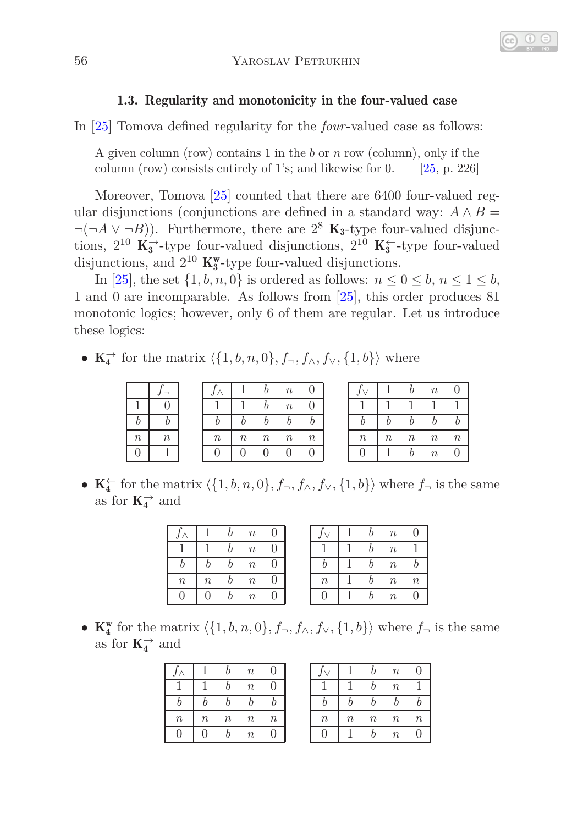# 1.3. Regularity and monotonicity in the four-valued case

In [\[25\]](#page-13-2) Tomova defined regularity for the *four*-valued case as follows:

A given column (row) contains 1 in the *b* or *n* row (column), only if the column (row) consists entirely of 1's; and likewise for 0. [\[25,](#page-13-2) p. 226]

Moreover, Tomova [\[25\]](#page-13-2) counted that there are 6400 four-valued regular disjunctions (conjunctions are defined in a standard way:  $A \wedge B =$  $\neg(\neg A \lor \neg B)$ ). Furthermore, there are  $2^8$  **K**<sub>3</sub>-type four-valued disjunctions,  $2^{10}$  K<sup>→</sup>-type four-valued disjunctions,  $2^{10}$  K<sup>←</sup>-type four-valued disjunctions, and  $2^{10}$  K<sup>w</sup><sub>3</sub>-type four-valued disjunctions.

In [\[25\]](#page-13-2), the set  $\{1, b, n, 0\}$  is ordered as follows:  $n \le 0 \le b, n \le 1 \le b$ , 1 and 0 are incomparable. As follows from [\[25\]](#page-13-2), this order produces 81 monotonic logics; however, only 6 of them are regular. Let us introduce these logics:

•  $\mathbf{K}_4^{\rightarrow}$  for the matrix  $\langle \{1, b, n, 0\}, f_{\neg}, f_{\wedge}, f_{\vee}, \{1, b\} \rangle$  where

|          |  |             |        |            | $\it{n}$         |          |               |        |       | $\boldsymbol{n}$ |                  |
|----------|--|-------------|--------|------------|------------------|----------|---------------|--------|-------|------------------|------------------|
|          |  |             |        |            | $\boldsymbol{n}$ |          |               |        |       |                  |                  |
|          |  |             |        |            |                  |          |               |        |       |                  | $\boldsymbol{b}$ |
| $\it{n}$ |  | $n_{\cdot}$ | $\, n$ | $n_{\rm }$ | $\boldsymbol{n}$ | $\it{n}$ | $\mathfrak n$ | $\, n$ | $\,n$ | $\boldsymbol{n}$ | $\boldsymbol{n}$ |
|          |  |             |        |            |                  |          |               |        |       | $\eta$           |                  |

•  $\mathbf{K}_4^{\leftarrow}$  for the matrix  $\langle \{1, b, n, 0\}, f_{\neg}, f_{\wedge}, f_{\vee}, \{1, b\} \rangle$  where  $f_{\neg}$  is the same as for  $\mathbf{K}_4^{\rightarrow}$  and

|                  |          | $\boldsymbol{n}$ |  |  | $\boldsymbol{n}$ |                  |
|------------------|----------|------------------|--|--|------------------|------------------|
|                  |          | $\, n$           |  |  | $\boldsymbol{n}$ |                  |
|                  |          | $\boldsymbol{n}$ |  |  | $\boldsymbol{n}$ |                  |
| $\boldsymbol{n}$ | $\it{n}$ | $\boldsymbol{n}$ |  |  | $\boldsymbol{n}$ | $\boldsymbol{n}$ |
|                  |          | $\it n$          |  |  | $\it{n}$         |                  |

• **K**<sup>w</sup><sub>4</sub> for the matrix  $\langle \{1, b, n, 0\}, f_\neg, f_\wedge, f_\vee, \{1, b\} \rangle$  where  $f_\neg$  is the same as for  $\mathbf{K}_4^{\rightarrow}$  and

|                  |          |                  | $\boldsymbol{n}$ |         |        |                  |       | $\boldsymbol{n}$ |                  |
|------------------|----------|------------------|------------------|---------|--------|------------------|-------|------------------|------------------|
|                  |          |                  | $\boldsymbol{n}$ |         |        |                  |       | $\boldsymbol{n}$ |                  |
|                  |          |                  |                  |         |        |                  |       |                  | b                |
| $\boldsymbol{n}$ | $\it{n}$ | $\boldsymbol{n}$ | $\boldsymbol{n}$ | $\it n$ | $\, n$ | $\boldsymbol{n}$ | $\,n$ | $\boldsymbol{n}$ | $\boldsymbol{n}$ |
|                  |          |                  | $\boldsymbol{n}$ |         |        |                  |       | $\boldsymbol{n}$ | $\cup$           |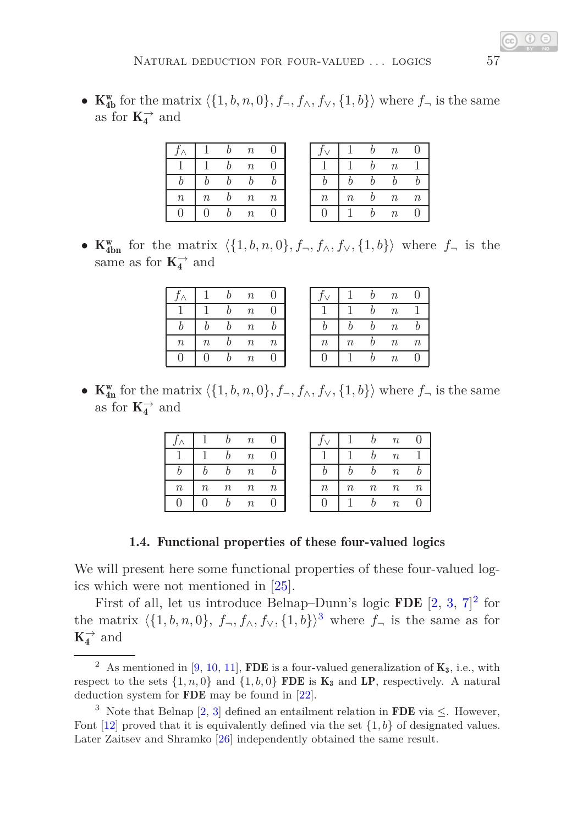• **K**<sub>4</sub><sup>w</sup><sub>**b**</sub> for the matrix  $\langle \{1, b, n, 0\}, f_\neg, f_\wedge, f_\vee, \{1, b\} \rangle$  where  $f_\neg$  is the same as for  $\mathbf{K}_4^{\rightarrow}$  and

|         |                  | $\boldsymbol{n}$ |                  |                  |          | $\boldsymbol{n}$ |  |
|---------|------------------|------------------|------------------|------------------|----------|------------------|--|
|         |                  | $\boldsymbol{n}$ |                  |                  |          | $\boldsymbol{n}$ |  |
|         |                  |                  |                  |                  |          |                  |  |
| $\it n$ | $\boldsymbol{n}$ | $\boldsymbol{n}$ | $\boldsymbol{n}$ | $\boldsymbol{n}$ | $\it{n}$ | $n_{\rm}$        |  |
|         |                  | $\boldsymbol{n}$ |                  |                  |          |                  |  |

• **K**<sub><sup>*I*</sub></sup><sub>**on**</sub> for the matrix  $\langle \{1, b, n, 0\}, f_\neg, f_\wedge, f_\vee, \{1, b\} \rangle$  where  $f_\neg$  is the</sub> same as for  $K_4^{\rightarrow}$  and

|                  |                  | h | $\boldsymbol{n}$ |                  |
|------------------|------------------|---|------------------|------------------|
|                  |                  | h | $\boldsymbol{n}$ | II               |
| h                | h                | h | $\boldsymbol{n}$ | h                |
| $\boldsymbol{n}$ | $\boldsymbol{n}$ | b | $\boldsymbol{n}$ | $\boldsymbol{n}$ |
| ( )              | 0                | h | $\boldsymbol{n}$ |                  |

|                  |                  | h | $\boldsymbol{n}$ | 0                |
|------------------|------------------|---|------------------|------------------|
|                  |                  | h | $\boldsymbol{n}$ |                  |
| h                | b                | b | $\boldsymbol{n}$ |                  |
| $\boldsymbol{n}$ | $\boldsymbol{n}$ | h | $\boldsymbol{n}$ | $\boldsymbol{n}$ |
|                  |                  |   | $\boldsymbol{n}$ |                  |

• **K**<sub>In</sub><sup>w</sup> for the matrix  $\langle \{1, b, n, 0\}, f_\neg, f_\wedge, f_\vee, \{1, b\} \rangle$  where  $f_\neg$  is the same as for  $\mathbf{K}_4^{\rightarrow}$  and

|        |                  | h                | $\boldsymbol{n}$ |                  |
|--------|------------------|------------------|------------------|------------------|
|        |                  | h                | $\boldsymbol{n}$ | 0                |
|        |                  |                  | $\boldsymbol{n}$ |                  |
| $\, n$ | $\boldsymbol{n}$ | $\boldsymbol{n}$ | $\boldsymbol{n}$ | $\boldsymbol{n}$ |
|        |                  |                  | $\boldsymbol{n}$ |                  |

|                  |                  | h                | $\boldsymbol{n}$ | 0                |
|------------------|------------------|------------------|------------------|------------------|
|                  |                  | b                | $\boldsymbol{n}$ |                  |
|                  | h                | h                | $\boldsymbol{n}$ | h                |
| $\boldsymbol{n}$ | $\boldsymbol{n}$ | $\boldsymbol{n}$ | $\boldsymbol{n}$ | $\boldsymbol{n}$ |
|                  |                  |                  | $\boldsymbol{n}$ |                  |

#### 1.4. Functional properties of these four-valued logics

We will present here some functional properties of these four-valued logics which were not mentioned in [\[25\]](#page-13-2).

First of all, let us introduce Belnap–Dunn's logic **FDE**  $[2, 3, 7]^2$  $[2, 3, 7]^2$  $[2, 3, 7]^2$  $[2, 3, 7]^2$  $[2, 3, 7]^2$  $[2, 3, 7]^2$  $[2, 3, 7]^2$  for the matrix  $\langle \{1, b, n, 0\}, f_\neg, f_\wedge, f_\vee, \{1, b\} \rangle^3$  $\langle \{1, b, n, 0\}, f_\neg, f_\wedge, f_\vee, \{1, b\} \rangle^3$  where  $f_\neg$  is the same as for  $\mathbf{K}_4^{\rightarrow}$  and

<span id="page-4-0"></span><sup>&</sup>lt;sup>2</sup> As mentioned in [\[9,](#page-12-10) [10,](#page-12-8) [11\]](#page-12-12), FDE is a four-valued generalization of  $K_3$ , i.e., with respect to the sets  $\{1, n, 0\}$  and  $\{1, b, 0\}$  FDE is  $\mathbf{K}_3$  and LP, respectively. A natural deduction system for FDE may be found in [\[22\]](#page-12-3).

<span id="page-4-1"></span><sup>&</sup>lt;sup>3</sup> Note that Belnap [\[2,](#page-11-2) [3\]](#page-11-3) defined an entailment relation in **FDE** via  $\leq$ . However, Font  $[12]$  proved that it is equivalently defined via the set  $\{1,b\}$  of designated values. Later Zaitsev and Shramko [\[26\]](#page-13-3) independently obtained the same result.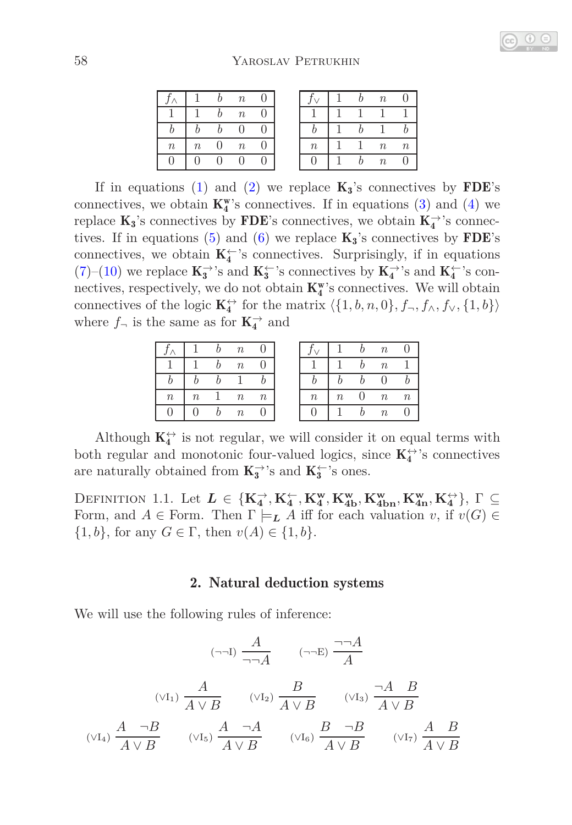|                  |                  | $\boldsymbol{n}$ |   |  |
|------------------|------------------|------------------|---|--|
|                  |                  | $\boldsymbol{n}$ |   |  |
|                  |                  |                  |   |  |
| $\boldsymbol{n}$ | $\boldsymbol{n}$ | $\boldsymbol{n}$ |   |  |
| H                |                  |                  | H |  |

|                  | h | $\it{n}$         |                  |
|------------------|---|------------------|------------------|
|                  |   |                  |                  |
|                  | h |                  |                  |
| $\boldsymbol{n}$ |   | $\boldsymbol{n}$ | $\boldsymbol{n}$ |
|                  | h | $\boldsymbol{n}$ | П                |

If in equations [\(1\)](#page-2-0) and [\(2\)](#page-2-0) we replace  $\mathbf{K}_3$ 's connectives by **FDE**'s connectives, we obtain  $K_4^{\mathbf{w}}$ 's connectives. If in equations [\(3\)](#page-2-0) and [\(4\)](#page-2-0) we replace  $\mathbf{K}_3$ 's connectives by FDE's connectives, we obtain  $\mathbf{K}_4^{\rightarrow}$ 's connec-tives. If in equations [\(5\)](#page-2-0) and [\(6\)](#page-2-0) we replace  $K_3$ 's connectives by **FDE**'s connectives, we obtain  $\mathbf{K}_4^{\leftarrow}$ 's connectives. Surprisingly, if in equations [\(7\)](#page-2-0)–[\(10\)](#page-2-0) we replace  $\mathbf{K_3^{\rightarrow}}$  's and  $\mathbf{K_3^{\leftarrow}}$  's connectives by  $\mathbf{K_4^{\rightarrow}}$  's and  $\mathbf{K_4^{\leftarrow}}$  's connectives, respectively, we do not obtain  $K_4^w$ 's connectives. We will obtain connectives of the logic  $\mathbf{K}_4^{\leftrightarrow}$  for the matrix  $\langle \{1, b, n, 0\}, f_{\neg}, f_{\wedge}, f_{\vee}, \{1, b\} \rangle$ where  $f_{\neg}$  is the same as for  $\mathbf{K}_{4}^{\rightarrow}$  and

|                  |         |  |                  |          |         | $\boldsymbol{n}$ |  |
|------------------|---------|--|------------------|----------|---------|------------------|--|
|                  |         |  |                  |          |         | $\boldsymbol{n}$ |  |
|                  |         |  |                  |          |         |                  |  |
| $\boldsymbol{n}$ | $\it n$ |  | $\boldsymbol{n}$ | $\it{n}$ | $\it n$ | $\boldsymbol{n}$ |  |
|                  |         |  |                  |          |         | $\boldsymbol{n}$ |  |

Although  $\mathbf{K}_4^{\leftrightarrow}$  is not regular, we will consider it on equal terms with both regular and monotonic four-valued logics, since  $\mathbf{K}_4^{\leftrightarrow}{}$  's connectives are naturally obtained from  $\mathbf{K}_3^{\rightarrow}$  's and  $\mathbf{K}_3^{\leftarrow}$  's ones.

<span id="page-5-0"></span>DEFINITION 1.1. Let  $L \in \{K_4^\rightarrow, K_4^\leftarrow, K_4^w, K_{4b}^w, K_{4bn}^w, K_{4n}^w, K_4^\leftrightarrow\}$ ,  $\Gamma \subseteq$ Form, and  $A \in \text{Form. Then } \Gamma \models_L A \text{ iff for each valuation } v, \text{ if } v(G) \in$  $\{1, b\}$ , for any  $G \in \Gamma$ , then  $v(A) \in \{1, b\}$ .

#### 2. Natural deduction systems

We will use the following rules of inference:

$$
\begin{array}{ccccc}\n & A & (\neg\neg B) & \neg\neg A \\
\hline\n(\vee I_1) & A & (\vee I_2) & B & (\vee I_3) & \neg A & B \\
\hline\n(\vee I_4) & A & \neg B & (\vee I_5) & A & \neg A & (\vee I_5) & A & \vee B \\
\hline\nA \vee B & & (\vee I_5) & A & \vee B & & (\vee I_6) & A & \vee B & & (\vee I_7) & A & B \\
\end{array}
$$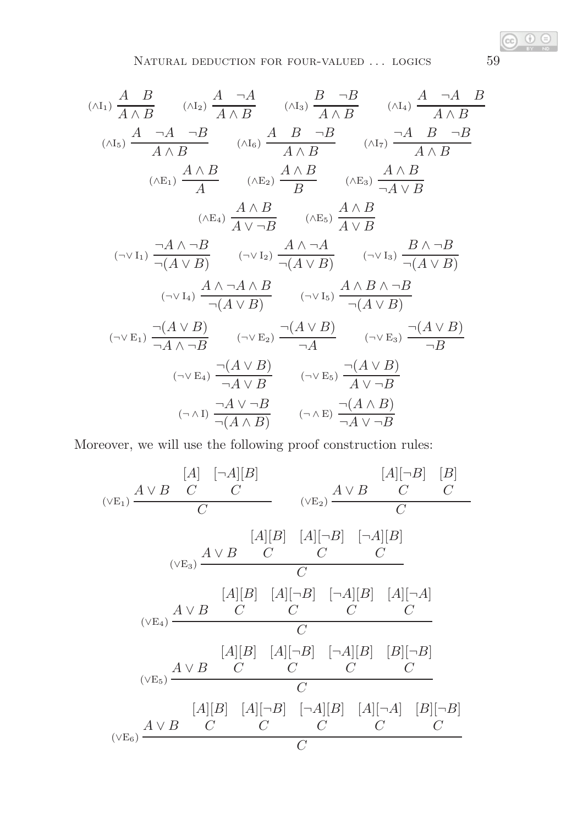$$
\begin{array}{cc}\n\text{(AI)} \frac{A}{A \wedge B} & \text{(AI)} \frac{A}{A \wedge B} & \text{(AI)} \frac{B}{A \wedge B} & \text{(AI)} \frac{A}{A \wedge B} \\
\text{(AI)} \frac{A}{A \wedge B} & \text{(AI)} \frac{A}{A \wedge B} & \text{(AI)} \frac{A}{A \wedge B} \\
\text{(AI)} \frac{A \wedge B}{A} & \text{(AI)} \frac{A \wedge B}{A \wedge B} & \text{(AI)} \frac{A \wedge B}{A \wedge B} \\
\text{(AE)} \frac{A \wedge B}{A} & \text{(AE)} \frac{A \wedge B}{B} & \text{(AE)} \frac{A \wedge B}{\neg A \vee B} \\
\text{(AE)} \frac{A \wedge B}{A \vee \neg B} & \text{(AE)} \frac{A \wedge B}{A \vee B} \\
\text{(A E)} \frac{A \wedge B}{\neg (A \vee B)} & \text{(A E)} \frac{A \wedge \neg A}{\neg (A \vee B)} & \text{(A E)} \frac{B \wedge \neg B}{\neg (A \vee B)} \\
\text{(A V B)} & \text{(A V B)} \frac{A \wedge \neg A \wedge B}{\neg (A \vee B)} & \text{(A V B)} \frac{A \wedge B \wedge \neg B}{\neg (A \vee B)} \\
\text{(A V B)} & \text{(A V B)} \frac{A \wedge B \wedge \neg B}{\neg (A \vee B)} \\
\text{(A V B)} & \text{(A V B)} \frac{A \wedge B}{\neg (A \vee B)} & \text{(A V B)} \frac{A \wedge B \wedge \neg B}{\neg (A \vee B)} \\
\text{(A V B)} & \text{(A V B)} \frac{A \wedge B}{\neg A \vee B} & \text{(A V B)} \\
\text{(A V B)} & \text{(A V B)} \frac{A \vee B}{\neg A \vee B} & \text{(A V B)} \frac{A \wedge B}{\neg A \vee \neg B} \\
\text{(A V B)} & \text{(A V B)} \frac{A \wedge B}{\neg (A \wedge B)} & \text{(A V B)} \frac{A \wedge B}{\neg (A \vee B)} \\
\text{(A V B)} & \text{(A V B)} \frac{A \wedge B}{\neg (A \wedge B)} & \text{(A V B)} \frac{A \wedge B}{\neg (A \
$$

Moreover, we will use the following proof construction rules:

$$
\begin{array}{c}\n[A] \quad [A][B] \\
(\vee E_1) \xrightarrow{A \vee B} C \quad C \\
\hline\nC \quad & (\vee E_2) \xrightarrow{A \vee B} C \quad C \\
\hline\n\end{array}
$$
\n
$$
\begin{array}{c}\n[A][B] \quad [A][\neg B] \quad [\neg A][B] \\
(\vee E_3) \xrightarrow{A \vee B} C \quad C \quad C \\
\hline\nC \quad & \uparrow \\
\hline\nC \quad & \uparrow \\
\hline\nC \quad & \uparrow \\
\hline\nC \quad & \uparrow \\
\hline\nC \quad & \uparrow \\
\hline\nC \quad & \uparrow \\
\hline\nC \quad & \uparrow \\
\hline\n\end{array}
$$
\n
$$
\begin{array}{c}\n[A][B] \quad [A][\neg B] \quad [\neg A][B] \quad [A][\neg A] \\
\hline\nC \quad & \uparrow \\
\hline\nC \quad & \uparrow \\
\hline\nC \quad & \uparrow \\
\hline\n\end{array}
$$
\n
$$
\begin{array}{c}\n[A][B] \quad [A][\neg B] \quad [\neg A][B] \quad [B][\neg B] \\
\hline\n\end{array}
$$
\n
$$
\begin{array}{c}\n[A][B] \quad [A][\neg B] \quad [\neg A][B] \quad [A][\neg A] \quad [B][\neg B] \\
\hline\n\end{array}
$$
\n
$$
\begin{array}{c}\n[A][B] \quad [A][\neg B] \quad [\neg A][B] \quad [A][\neg A] \quad [B][\neg B] \\
\hline\n\end{array}
$$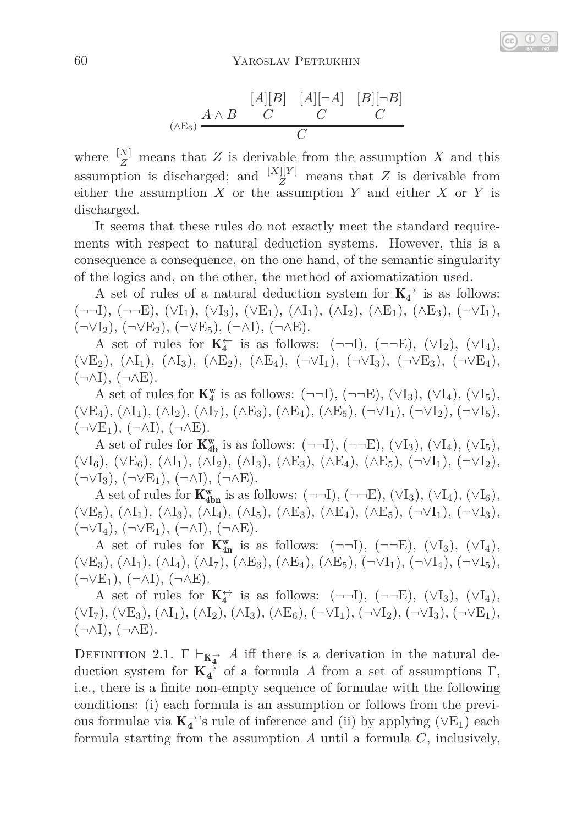$$
\begin{array}{cc}\n[A][B] & [A] [-A] & [B] [-B] \\
(A \to B) & C & C \\
\hline\nC & C & C\n\end{array}
$$

where  $\frac{[X]}{Z}$  means that *Z* is derivable from the assumption *X* and this assumption is discharged; and  $\frac{|X| |Y|}{Z}$  means that *Z* is derivable from either the assumption *X* or the assumption *Y* and either *X* or *Y* is discharged.

It seems that these rules do not exactly meet the standard requirements with respect to natural deduction systems. However, this is a consequence a consequence, on the one hand, of the semantic singularity of the logics and, on the other, the method of axiomatization used.

A set of rules of a natural deduction system for  $K_4^{\rightarrow}$  is as follows:  $(\neg\neg I), (\neg\neg E), (\forall I_1), (\forall I_3), (\forall E_1), (\land I_1), (\land I_2), (\land E_1), (\land E_3), (\neg \lor I_1),$  $(\neg \lor I_2), (\neg \lor E_2), (\neg \lor E_5), (\neg \land I), (\neg \land E).$ 

A set of rules for  $K_4^{\leftarrow}$  is as follows:  $(\neg\neg I)$ ,  $(\neg\neg E)$ ,  $(\vee I_2)$ ,  $(\vee I_4)$ ,  $(\vee E_2), (\wedge I_1), (\wedge I_3), (\wedge E_2), (\wedge E_4), (\neg \vee I_1), (\neg \vee I_3), (\neg \vee E_3), (\neg \vee E_4),$  $(\neg \land I), (\neg \land E).$ 

A set of rules for  $\mathbf{K}_4^{\mathbf{w}}$  is as follows:  $(\neg\neg\mathrm{I}), (\neg\neg\mathrm{E}), (\vee\mathrm{I}_3), (\vee\mathrm{I}_4), (\vee\mathrm{I}_5),$  $(\vee E_4), (\wedge I_1), (\wedge I_2), (\wedge I_7), (\wedge E_3), (\wedge E_4), (\wedge E_5), (\neg \vee I_1), (\neg \vee I_2), (\neg \vee I_5),$  $(\neg \vee E_1), (\neg \wedge I), (\neg \wedge E).$ 

A set of rules for  $\mathbf{K}_{4b}^{\mathbf{w}}$  is as follows:  $(\neg\neg I), (\neg\neg E), (\vee I_3), (\vee I_4), (\vee I_5),$  $(\forall I_6)$ ,  $(\forall E_6)$ ,  $(\land I_1)$ ,  $(\land I_2)$ ,  $(\land I_3)$ ,  $(\land E_3)$ ,  $(\land E_4)$ ,  $(\land E_5)$ ,  $(\neg \lor I_1)$ ,  $(\neg \lor I_2)$ ,  $(\neg \lor I_3), (\neg \lor E_1), (\neg \land I), (\neg \land E).$ 

A set of rules for  $\mathbf{K}_{\text{4bn}}^{\text{w}}$  is as follows:  $(\neg\neg I), (\neg\neg E), (\forall I_3), (\forall I_4), (\forall I_6),$  $(\vee E_5), (\wedge I_1), (\wedge I_3), (\wedge I_4), (\wedge I_5), (\wedge E_3), (\wedge E_4), (\wedge E_5), (\neg \vee I_1), (\neg \vee I_3),$  $(\neg \lor I_4), (\neg \lor E_1), (\neg \land I), (\neg \land E).$ 

A set of rules for  $K_{4n}^{w}$  is as follows:  $(\neg\neg I), (\neg\neg E), (\forall I_3), (\forall I_4)$ ,  $(\vee E_3), (\wedge I_1), (\wedge I_4), (\wedge I_7), (\wedge E_3), (\wedge E_4), (\wedge E_5), (\neg \vee I_1), (\neg \vee I_4), (\neg \vee I_5),$  $(\neg \vee E_1), (\neg \wedge I), (\neg \wedge E).$ 

A set of rules for  $\mathbf{K}_4^{\leftrightarrow}$  is as follows:  $(\neg\neg I)$ ,  $(\neg\neg E)$ ,  $(\vee I_3)$ ,  $(\vee I_4)$ ,  $(\forall I_7), (\forall E_3), (\land I_1), (\land I_2), (\land I_3), (\land E_6), (\neg \forall I_1), (\neg \forall I_2), (\neg \forall I_3), (\neg \forall E_1),$  $(\neg \land I), (\neg \land E).$ 

DEFINITION 2.1.  $\Gamma \vdash_{K_4^{\rightarrow}} A$  iff there is a derivation in the natural deduction system for  $\mathbf{K}_4^{\rightarrow}$  of a formula *A* from a set of assumptions  $\Gamma$ , i.e., there is a finite non-empty sequence of formulae with the following conditions: (i) each formula is an assumption or follows from the previous formulae via  $\mathbf{K}_4^{\rightarrow}$ 's rule of inference and (ii) by applying  $(\vee E_1)$  each formula starting from the assumption *A* until a formula *C*, inclusively,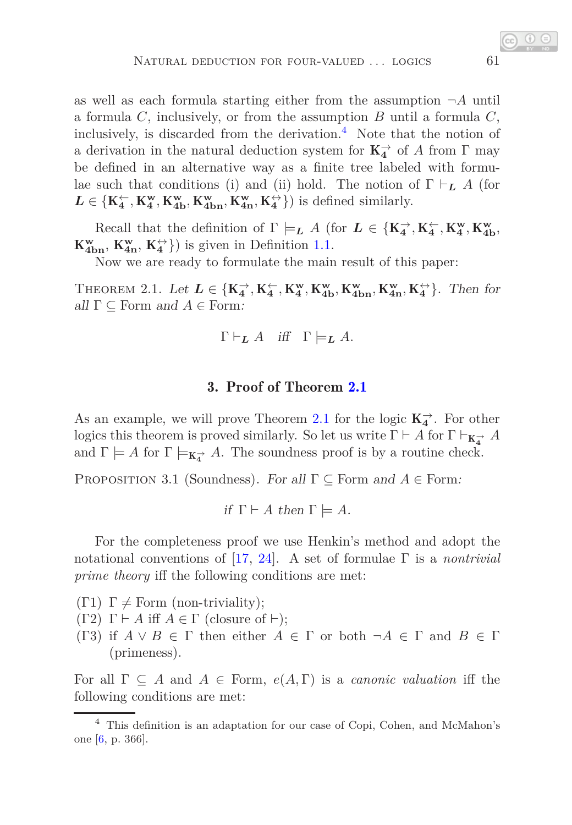as well as each formula starting either from the assumption  $\neg A$  until a formula *C*, inclusively, or from the assumption *B* until a formula *C*, inclusively, is discarded from the derivation.<sup>[4](#page-8-0)</sup> Note that the notion of a derivation in the natural deduction system for  $K_4^{\rightarrow}$  of *A* from  $\Gamma$  may be defined in an alternative way as a finite tree labeled with formulae such that conditions (i) and (ii) hold. The notion of  $\Gamma \vdash_L A$  (for  $L \in \{K_4^{\leftarrow}, K_4^{\mathbf{w}}, K_{4\mathbf{b}}^{\mathbf{w}}, K_{4\mathbf{b}}^{\mathbf{w}}, K_{4\mathbf{n}}^{\leftarrow}, K_4^{\leftrightarrow}\}\}\)$  is defined similarly.

Recall that the definition of  $\Gamma \models_L A$  (for  $L \in \{K_4^\rightarrow, K_4^\leftarrow, K_4^w, K_{4b}^w,$  $K_{4bn}^w$ ,  $K_{4n}^w$ ,  $K_4^{\leftrightarrow}$ }) is given in Definition [1.1.](#page-5-0)

<span id="page-8-1"></span>Now we are ready to formulate the main result of this paper:

THEOREM 2.1. Let  $L \in \{K_4^{\rightarrow}, K_4^{\leftarrow}, K_4^{\mathbf{w}}, K_{4\mathbf{b}}^{\mathbf{w}}, K_{4\mathbf{b}}^{\mathbf{w}}, K_{4\mathbf{n}}^{\mathbf{w}}, K_4^{\leftarrow}\}$ . Then for all  $\Gamma \subseteq$  Form and  $A \in$  Form:

$$
\Gamma \vdash_{\mathbf{L}} A \quad \text{iff} \quad \Gamma \models_{\mathbf{L}} A.
$$

## 3. Proof of Theorem [2.1](#page-8-1)

As an example, we will prove Theorem [2.1](#page-8-1) for the logic  $K_4^{\rightarrow}$ . For other logics this theorem is proved similarly. So let us write  $\Gamma \vdash A$  for  $\Gamma \vdash_{\mathbf{K}_{\mathbf{4}}^{\to}} A$ and  $\Gamma \models A$  for  $\Gamma \models_{\mathbf{K}_4^{\rightarrow}} A$ . The soundness proof is by a routine check.

<span id="page-8-2"></span>PROPOSITION 3.1 (Soundness). For all  $\Gamma \subseteq$  Form and  $A \in$  Form:

if 
$$
\Gamma \vdash A
$$
 then  $\Gamma \models A$ .

For the completeness proof we use Henkin's method and adopt the notational conventions of [\[17,](#page-12-5) [24\]](#page-13-1). A set of formulae Γ is a *nontrivial prime theory* iff the following conditions are met:

(Γ1)  $\Gamma \neq$  Form (non-triviality);

(Γ2) Γ ⊢ *A* iff *A* ∈ Γ (closure of ⊢);

(Γ3) if  $A \vee B \in \Gamma$  then either  $A \in \Gamma$  or both  $\neg A \in \Gamma$  and  $B \in \Gamma$ (primeness).

For all  $\Gamma \subseteq A$  and  $A \in$  Form,  $e(A, \Gamma)$  is a *canonic valuation* iff the following conditions are met:

<span id="page-8-0"></span><sup>4</sup> This definition is an adaptation for our case of Copi, Cohen, and McMahon's one [\[6,](#page-11-4) p. 366].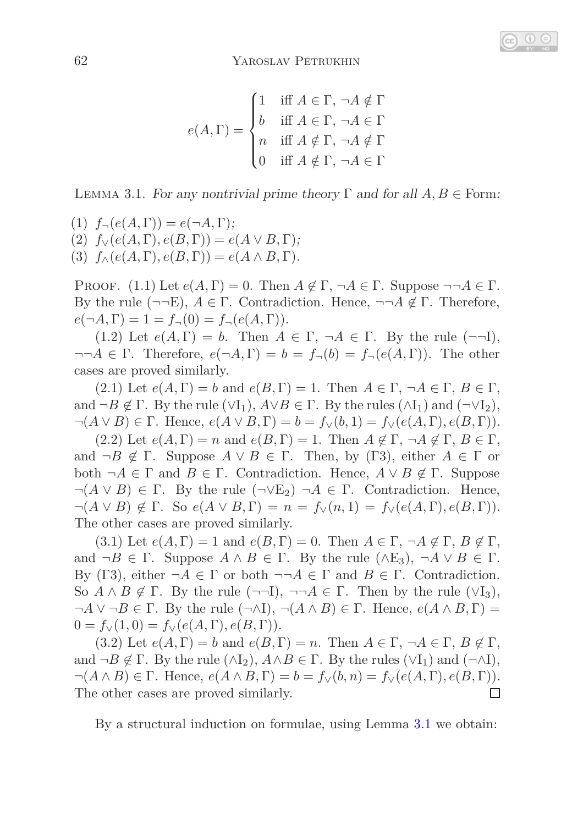$$
e(A,\Gamma) = \begin{cases} 1 & \text{iff } A \in \Gamma, \ \neg A \notin \Gamma \\ b & \text{iff } A \in \Gamma, \ \neg A \in \Gamma \\ n & \text{iff } A \notin \Gamma, \ \neg A \notin \Gamma \\ 0 & \text{iff } A \notin \Gamma, \ \neg A \in \Gamma \end{cases}
$$

<span id="page-9-0"></span>LEMMA 3.1. For any nontrivial prime theory  $\Gamma$  and for all  $A, B \in$  Form:

(1)  $f_{\neg}(e(A, \Gamma)) = e(\neg A, \Gamma);$ (2)  $f_V(e(A, \Gamma), e(B, \Gamma)) = e(A \vee B, \Gamma);$ (3)  $f_{\wedge}(e(A, \Gamma), e(B, \Gamma)) = e(A \wedge B, \Gamma).$ 

PROOF. (1.1) Let  $e(A, \Gamma) = 0$ . Then  $A \notin \Gamma$ ,  $\neg A \in \Gamma$ . Suppose  $\neg \neg A \in \Gamma$ . By the rule  $(\neg\neg E)$ ,  $A \in \Gamma$ . Contradiction. Hence,  $\neg\neg A \notin \Gamma$ . Therefore,  $e(\neg A, \Gamma) = 1 = f_{\neg}(0) = f_{\neg}(e(A, \Gamma)).$ 

(1.2) Let  $e(A,\Gamma) = b$ . Then  $A \in \Gamma$ ,  $\neg A \in \Gamma$ . By the rule  $(\neg \neg I)$ ,  $\neg\neg A \in \Gamma$ . Therefore,  $e(\neg A, \Gamma) = b = f_{\neg}(b) = f_{\neg}(e(A, \Gamma))$ . The other cases are proved similarly.

(2.1) Let  $e(A, \Gamma) = b$  and  $e(B, \Gamma) = 1$ . Then  $A \in \Gamma$ ,  $\neg A \in \Gamma$ ,  $B \in \Gamma$ , and  $\neg B \notin \Gamma$ . By the rule  $(\forall I_1)$ ,  $A \lor B \in \Gamma$ . By the rules  $(\land I_1)$  and  $(\neg \forall I_2)$ ,  $\neg(A \lor B) \in \Gamma$ . Hence,  $e(A \lor B, \Gamma) = b = f_\vee(b, 1) = f_\vee(e(A, \Gamma), e(B, \Gamma))$ .

(2.2) Let  $e(A, \Gamma) = n$  and  $e(B, \Gamma) = 1$ . Then  $A \notin \Gamma, \neg A \notin \Gamma, B \in \Gamma$ , and  $\neg B \notin \Gamma$ . Suppose  $A \lor B \in \Gamma$ . Then, by (Γ3), either  $A \in \Gamma$  or both  $\neg A \in \Gamma$  and  $B \in \Gamma$ . Contradiction. Hence,  $A \vee B \notin \Gamma$ . Suppose  $\neg(A \lor B) \in \Gamma$ . By the rule  $(\neg \lor E_2) \neg A \in \Gamma$ . Contradiction. Hence,  $\neg(A \lor B) \notin \Gamma$ . So  $e(A \lor B, \Gamma) = n = f_\vee(n, 1) = f_\vee(e(A, \Gamma), e(B, \Gamma))$ . The other cases are proved similarly.

(3.1) Let  $e(A, \Gamma) = 1$  and  $e(B, \Gamma) = 0$ . Then  $A \in \Gamma$ ,  $\neg A \notin \Gamma$ ,  $B \notin \Gamma$ , and  $\neg B \in \Gamma$ . Suppose  $A \wedge B \in \Gamma$ . By the rule  $(\wedge E_3)$ ,  $\neg A \vee B \in \Gamma$ . By (Γ3), either  $\neg A \in \Gamma$  or both  $\neg \neg A \in \Gamma$  and  $B \in \Gamma$ . Contradiction. So  $A \wedge B \notin \Gamma$ . By the rule  $(\neg \neg I)$ ,  $\neg \neg A \in \Gamma$ . Then by the rule  $(\vee I_3)$ ,  $\neg A \lor \neg B \in \Gamma$ . By the rule  $(\neg \land I), \neg (A \land B) \in \Gamma$ . Hence,  $e(A \land B, \Gamma) =$  $0 = f_{\vee}(1, 0) = f_{\vee}(e(A, \Gamma), e(B, \Gamma)).$ 

(3.2) Let  $e(A, \Gamma) = b$  and  $e(B, \Gamma) = n$ . Then  $A \in \Gamma$ ,  $\neg A \in \Gamma$ ,  $B \notin \Gamma$ , and  $\neg B \notin \Gamma$ . By the rule  $(\wedge I_2)$ ,  $A \wedge B \in \Gamma$ . By the rules  $(\vee I_1)$  and  $(\neg \wedge I)$ ,  $\neg(A \wedge B) \in \Gamma$ . Hence,  $e(A \wedge B, \Gamma) = b = f_{\vee}(b, n) = f_{\vee}(e(A, \Gamma), e(B, \Gamma))$ . The other cases are proved similarly. П

<span id="page-9-1"></span>By a structural induction on formulae, using Lemma [3.1](#page-9-0) we obtain: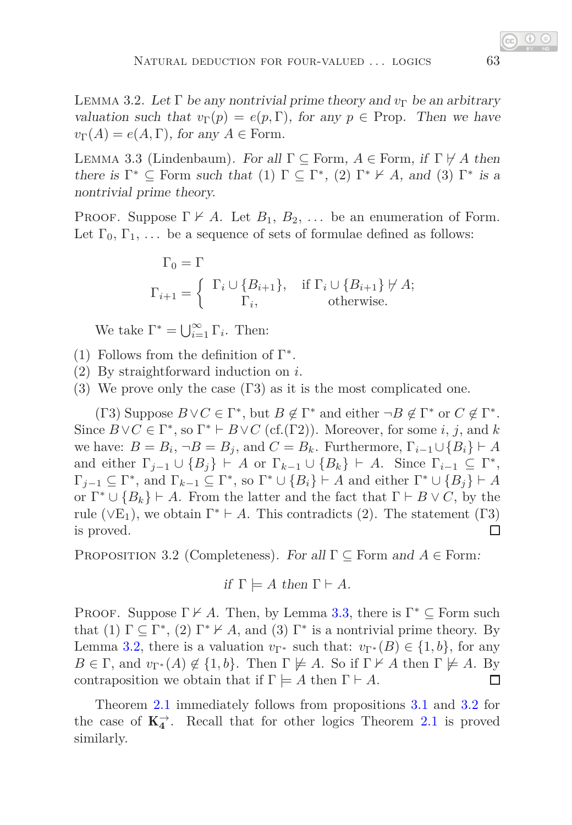LEMMA 3.2. Let  $\Gamma$  be any nontrivial prime theory and  $v_{\Gamma}$  be an arbitrary valuation such that  $v_{\Gamma}(p) = e(p, \Gamma)$ , for any  $p \in \text{Prop}$ . Then we have  $v_{\Gamma}(A) = e(A, \Gamma)$ , for any  $A \in \text{Form.}$ 

<span id="page-10-0"></span>LEMMA 3.3 (Lindenbaum). For all  $\Gamma \subseteq$  Form,  $A \in$  Form, if  $\Gamma \not\vdash A$  then there is  $\Gamma^* \subseteq$  Form such that (1)  $\Gamma \subseteq \Gamma^*$ , (2)  $\Gamma^* \nvdash A$ , and (3)  $\Gamma^*$  is a nontrivial prime theory.

PROOF. Suppose  $\Gamma \nvdash A$ . Let  $B_1, B_2, \ldots$  be an enumeration of Form. Let  $\Gamma_0, \Gamma_1, \ldots$  be a sequence of sets of formulae defined as follows:

$$
\Gamma_0 = \Gamma
$$
  
\n
$$
\Gamma_{i+1} = \begin{cases} \Gamma_i \cup \{B_{i+1}\}, & \text{if } \Gamma_i \cup \{B_{i+1}\} \not\vdash A; \\ \Gamma_i, & \text{otherwise.} \end{cases}
$$

We take  $\Gamma^* = \bigcup_{i=1}^{\infty} \Gamma_i$ . Then:

- (1) Follows from the definition of  $\Gamma^*$ .
- (2) By straightforward induction on *i*.
- (3) We prove only the case  $(T3)$  as it is the most complicated one.

(Γ3) Suppose  $B \vee C \in \Gamma^*$ , but  $B \notin \Gamma^*$  and either  $\neg B \notin \Gamma^*$  or  $C \notin \Gamma^*$ . Since  $B \vee C \in \Gamma^*$ , so  $\Gamma^* \vdash B \vee C$  (cf.( $\Gamma 2$ )). Moreover, for some *i*, *j*, and *k* we have:  $B = B_i$ ,  $\neg B = B_j$ , and  $C = B_k$ . Furthermore,  $\Gamma_{i-1} \cup \{B_i\} \vdash A$ and either  $\Gamma_{j-1} \cup \{B_j\} \vdash A$  or  $\Gamma_{k-1} \cup \{B_k\} \vdash A$ . Since  $\Gamma_{i-1} \subseteq \Gamma^*$ ,  $\Gamma_{j-1} \subseteq \Gamma^*$ , and  $\Gamma_{k-1} \subseteq \Gamma^*$ , so  $\Gamma^* \cup \{B_i\} \vdash A$  and either  $\Gamma^* \cup \{B_j\} \vdash A$ or  $\Gamma^* \cup \{B_k\} \vdash A$ . From the latter and the fact that  $\Gamma \vdash B \lor C$ , by the rule ( $\vee$ E<sub>1</sub>), we obtain  $\Gamma^* \vdash A$ . This contradicts (2). The statement (Γ3) is proved. □

<span id="page-10-1"></span>Proposition 3.2 (Completeness). For all Γ ⊆ Form and *A* ∈ Form:

if 
$$
\Gamma \models A
$$
 then  $\Gamma \vdash A$ .

PROOF. Suppose  $\Gamma \nvdash A$ . Then, by Lemma [3.3,](#page-10-0) there is  $\Gamma^* \subseteq$  Form such that (1)  $\Gamma \subseteq \Gamma^*$ , (2)  $\Gamma^* \nvdash A$ , and (3)  $\Gamma^*$  is a nontrivial prime theory. By Lemma [3.2,](#page-9-1) there is a valuation  $v_{\Gamma^*}$  such that:  $v_{\Gamma^*}(B) \in \{1, b\}$ , for any  $B \in \Gamma$ , and  $v_{\Gamma^*}(A) \notin \{1, b\}$ . Then  $\Gamma \not\models A$ . So if  $\Gamma \not\models A$  then  $\Gamma \not\models A$ . By contraposition we obtain that if  $\Gamma \models A$  then  $\Gamma \vdash A$ .  $\Box$ 

Theorem [2.1](#page-8-1) immediately follows from propositions [3.1](#page-8-2) and [3.2](#page-10-1) for the case of  $K_4^{\rightarrow}$ . Recall that for other logics Theorem [2.1](#page-8-1) is proved similarly.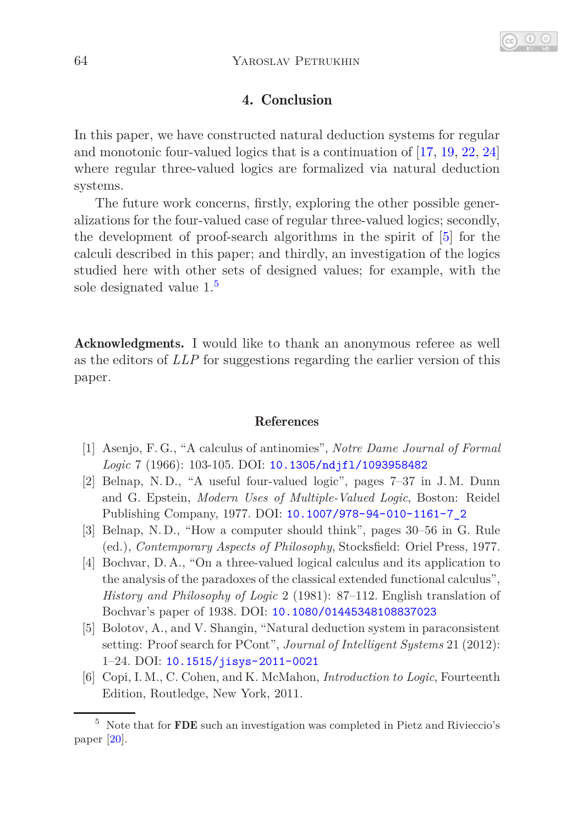# 4. Conclusion

In this paper, we have constructed natural deduction systems for regular and monotonic four-valued logics that is a continuation of [\[17,](#page-12-5) [19,](#page-12-7) [22,](#page-12-3) [24\]](#page-13-1) where regular three-valued logics are formalized via natural deduction systems.

The future work concerns, firstly, exploring the other possible generalizations for the four-valued case of regular three-valued logics; secondly, the development of proof-search algorithms in the spirit of [\[5\]](#page-11-5) for the calculi described in this paper; and thirdly, an investigation of the logics studied here with other sets of designed values; for example, with the sole designated value  $1<sup>5</sup>$  $1<sup>5</sup>$  $1<sup>5</sup>$ 

Acknowledgments. I would like to thank an anonymous referee as well as the editors of *LLP* for suggestions regarding the earlier version of this paper.

#### References

- <span id="page-11-0"></span>[1] Asenjo, F. G., "A calculus of antinomies", *Notre Dame Journal of Formal Logic* 7 (1966): 103-105. DOI: [10.1305/ndjfl/1093958482](http://dx.doi.org/10.1305/ndjfl/1093958482)
- <span id="page-11-2"></span>[2] Belnap, N. D., "A useful four-valued logic", pages 7–37 in J. M. Dunn and G. Epstein, *Modern Uses of Multiple-Valued Logic*, Boston: Reidel Publishing Company, 1977. DOI: [10.1007/978-94-010-1161-7\\_2](http://dx.doi.org/10.1007/978-94-010-1161-7_2)
- <span id="page-11-3"></span>[3] Belnap, N. D., "How a computer should think", pages 30–56 in G. Rule (ed.), *Contemporary Aspects of Philosophy*, Stocksfield: Oriel Press, 1977.
- <span id="page-11-1"></span>[4] Bochvar, D. A., "On a three-valued logical calculus and its application to the analysis of the paradoxes of the classical extended functional calculus", *History and Philosophy of Logic* 2 (1981): 87–112. English translation of Bochvar's paper of 1938. DOI: [10.1080/01445348108837023](http://dx.doi.org/10.1080/01445348108837023)
- <span id="page-11-5"></span>[5] Bolotov, A., and V. Shangin, "Natural deduction system in paraconsistent setting: Proof search for PCont", *Journal of Intelligent Systems* 21 (2012): 1–24. DOI: [10.1515/jisys-2011-0021](http://dx.doi.org/10.1515/jisys-2011-0021)
- <span id="page-11-4"></span>[6] Copi, I. M., C. Cohen, and K. McMahon, *Introduction to Logic*, Fourteenth Edition, Routledge, New York, 2011.

<span id="page-11-6"></span> $^5\,$  Note that for  $\rm{\bf FDE}$  such an investigation was completed in Pietz and Rivieccio's paper [\[20\]](#page-12-14).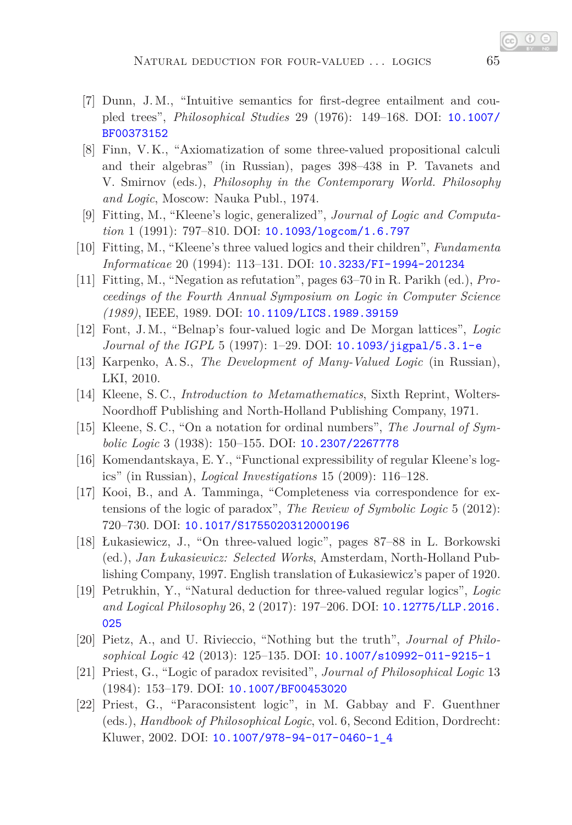- <span id="page-12-11"></span>[7] Dunn, J. M., "Intuitive semantics for first-degree entailment and coupled trees", *Philosophical Studies* 29 (1976): 149–168. DOI: [10.1007/](http://dx.doi.org/10.1007/BF00373152) [BF00373152](http://dx.doi.org/10.1007/BF00373152)
- <span id="page-12-6"></span>[8] Finn, V. K., "Axiomatization of some three-valued propositional calculi and their algebras" (in Russian), pages 398–438 in P. Tavanets and V. Smirnov (eds.), *Philosophy in the Contemporary World. Philosophy and Logic*, Moscow: Nauka Publ., 1974.
- <span id="page-12-10"></span><span id="page-12-8"></span>[9] Fitting, M., "Kleene's logic, generalized", *Journal of Logic and Computation* 1 (1991): 797–810. DOI: [10.1093/logcom/1.6.797](http://dx.doi.org/10.1093/logcom/1.6.797)
- <span id="page-12-12"></span>[10] Fitting, M., "Kleene's three valued logics and their children", *Fundamenta Informaticae* 20 (1994): 113–131. DOI: [10.3233/FI-1994-201234](http://dx.doi.org/10.3233/FI-1994-201234)
- [11] Fitting, M., "Negation as refutation", pages 63–70 in R. Parikh (ed.), *Proceedings of the Fourth Annual Symposium on Logic in Computer Science (1989)*, IEEE, 1989. DOI: [10.1109/LICS.1989.39159](http://dx.doi.org/10.1109/LICS.1989.39159)
- <span id="page-12-13"></span>[12] Font, J.M., "Belnap's four-valued logic and De Morgan lattices", *Logic Journal of the IGPL* 5 (1997): 1–29. DOI: [10.1093/jigpal/5.3.1-e](http://dx.doi.org/10.1093/jigpal/5.3.1-e)
- <span id="page-12-1"></span>[13] Karpenko, A. S., *The Development of Many-Valued Logic* (in Russian), LKI, 2010.
- <span id="page-12-0"></span>[14] Kleene, S. C., *Introduction to Metamathematics*, Sixth Reprint, Wolters-Noordhoff Publishing and North-Holland Publishing Company, 1971.
- <span id="page-12-9"></span>[15] Kleene, S. C., "On a notation for ordinal numbers", *The Journal of Symbolic Logic* 3 (1938): 150–155. DOI: [10.2307/2267778](http://dx.doi.org/10.2307/2267778)
- [16] Komendantskaya, E. Y., "Functional expressibility of regular Kleene's logics" (in Russian), *Logical Investigations* 15 (2009): 116–128.
- <span id="page-12-5"></span>[17] Kooi, B., and A. Tamminga, "Completeness via correspondence for extensions of the logic of paradox", *The Review of Symbolic Logic* 5 (2012): 720–730. DOI: [10.1017/S1755020312000196](http://dx.doi.org/10.1017/S1755020312000196)
- <span id="page-12-4"></span>[18] Łukasiewicz, J., "On three-valued logic", pages 87–88 in L. Borkowski (ed.), *Jan Łukasiewicz: Selected Works*, Amsterdam, North-Holland Publishing Company, 1997. English translation of Łukasiewicz's paper of 1920.
- <span id="page-12-7"></span>[19] Petrukhin, Y., "Natural deduction for three-valued regular logics", *Logic and Logical Philosophy* 26, 2 (2017): 197–206. DOI: [10.12775/LLP.2016.](http://dx.doi.org/10.12775/LLP.2016.025) [025](http://dx.doi.org/10.12775/LLP.2016.025)
- <span id="page-12-14"></span><span id="page-12-2"></span>[20] Pietz, A., and U. Rivieccio, "Nothing but the truth", *Journal of Philosophical Logic* 42 (2013): 125–135. DOI: [10.1007/s10992-011-9215-1](http://dx.doi.org/10.1007/s10992-011-9215-1)
- [21] Priest, G., "Logic of paradox revisited", *Journal of Philosophical Logic* 13 (1984): 153–179. DOI: [10.1007/BF00453020](http://dx.doi.org/10.1007/BF00453020)
- <span id="page-12-3"></span>[22] Priest, G., "Paraconsistent logic", in M. Gabbay and F. Guenthner (eds.), *Handbook of Philosophical Logic*, vol. 6, Second Edition, Dordrecht: Kluwer, 2002. DOI: [10.1007/978-94-017-0460-1\\_4](http://dx.doi.org/10.1007/978-94-017-0460-1_4)